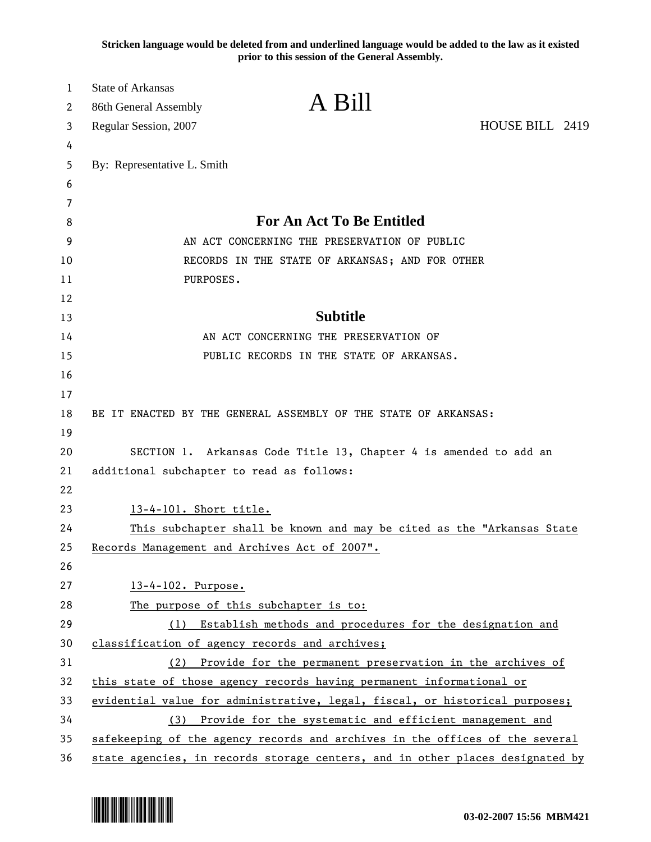**Stricken language would be deleted from and underlined language would be added to the law as it existed prior to this session of the General Assembly.**

| 1<br>2 | <b>State of Arkansas</b><br>86th General Assembly | A Bill                                                                        |                 |
|--------|---------------------------------------------------|-------------------------------------------------------------------------------|-----------------|
| 3      | Regular Session, 2007                             |                                                                               | HOUSE BILL 2419 |
| 4      |                                                   |                                                                               |                 |
| 5      | By: Representative L. Smith                       |                                                                               |                 |
| 6      |                                                   |                                                                               |                 |
| 7      |                                                   |                                                                               |                 |
| 8      |                                                   | <b>For An Act To Be Entitled</b>                                              |                 |
| 9      |                                                   | AN ACT CONCERNING THE PRESERVATION OF PUBLIC                                  |                 |
| 10     |                                                   | RECORDS IN THE STATE OF ARKANSAS; AND FOR OTHER                               |                 |
| 11     | PURPOSES.                                         |                                                                               |                 |
| 12     |                                                   |                                                                               |                 |
| 13     |                                                   | <b>Subtitle</b>                                                               |                 |
| 14     |                                                   | AN ACT CONCERNING THE PRESERVATION OF                                         |                 |
| 15     |                                                   | PUBLIC RECORDS IN THE STATE OF ARKANSAS.                                      |                 |
| 16     |                                                   |                                                                               |                 |
| 17     |                                                   |                                                                               |                 |
| 18     |                                                   | BE IT ENACTED BY THE GENERAL ASSEMBLY OF THE STATE OF ARKANSAS:               |                 |
| 19     |                                                   |                                                                               |                 |
| 20     |                                                   | SECTION 1. Arkansas Code Title 13, Chapter 4 is amended to add an             |                 |
| 21     | additional subchapter to read as follows:         |                                                                               |                 |
| 22     |                                                   |                                                                               |                 |
| 23     | 13-4-101. Short title.                            |                                                                               |                 |
| 24     |                                                   | This subchapter shall be known and may be cited as the "Arkansas State        |                 |
| 25     |                                                   | Records Management and Archives Act of 2007".                                 |                 |
| 26     |                                                   |                                                                               |                 |
| 27     | 13-4-102. Purpose.                                |                                                                               |                 |
| 28     |                                                   | The purpose of this subchapter is to:                                         |                 |
| 29     | (1)                                               | Establish methods and procedures for the designation and                      |                 |
| 30     |                                                   | classification of agency records and archives;                                |                 |
| 31     | (2)                                               | Provide for the permanent preservation in the archives of                     |                 |
| 32     |                                                   | this state of those agency records having permanent informational or          |                 |
| 33     |                                                   | evidential value for administrative, legal, fiscal, or historical purposes;   |                 |
| 34     | (3)                                               | Provide for the systematic and efficient management and                       |                 |
| 35     |                                                   | safekeeping of the agency records and archives in the offices of the several  |                 |
| 36     |                                                   | state agencies, in records storage centers, and in other places designated by |                 |

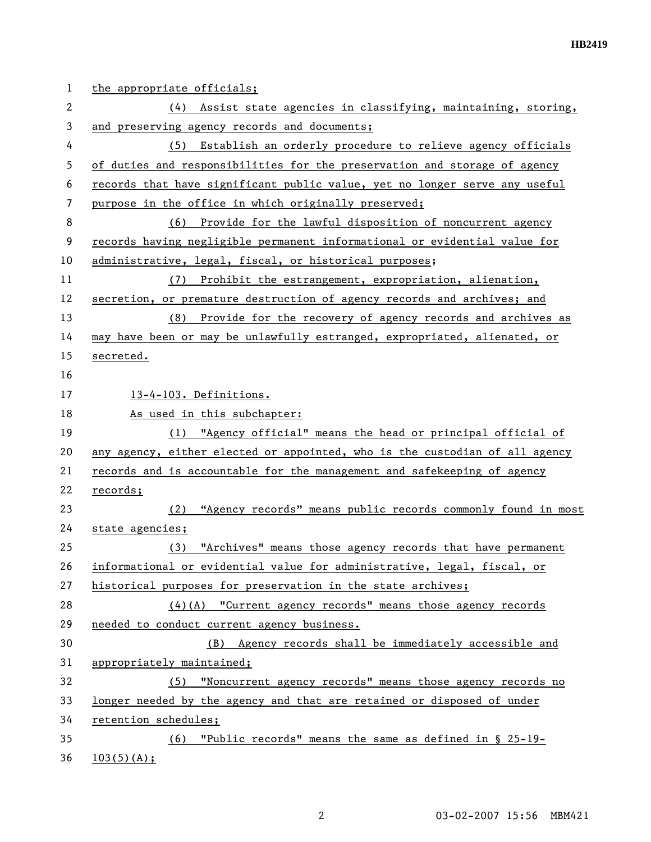| $\mathbf{1}$   | the appropriate officials;                                                  |
|----------------|-----------------------------------------------------------------------------|
| $\overline{2}$ | (4) Assist state agencies in classifying, maintaining, storing,             |
| 3              | and preserving agency records and documents;                                |
| 4              | (5) Establish an orderly procedure to relieve agency officials              |
| 5              | of duties and responsibilities for the preservation and storage of agency   |
| 6              | records that have significant public value, yet no longer serve any useful  |
| 7              | purpose in the office in which originally preserved;                        |
| 8              | (6) Provide for the lawful disposition of noncurrent agency                 |
| 9              | records having negligible permanent informational or evidential value for   |
| 10             | administrative, legal, fiscal, or historical purposes;                      |
| 11             | (7) Prohibit the estrangement, expropriation, alienation,                   |
| 12             | secretion, or premature destruction of agency records and archives; and     |
| 13             | (8) Provide for the recovery of agency records and archives as              |
| 14             | may have been or may be unlawfully estranged, expropriated, alienated, or   |
| 15             | secreted.                                                                   |
| 16             |                                                                             |
| 17             | 13-4-103. Definitions.                                                      |
| 18             | As used in this subchapter:                                                 |
| 19             | (1) "Agency official" means the head or principal official of               |
| 20             | any agency, either elected or appointed, who is the custodian of all agency |
| 21             | records and is accountable for the management and safekeeping of agency     |
| 22             | records;                                                                    |
| 23             | "Agency records" means public records commonly found in most<br>(2)         |
| 24             | state agencies;                                                             |
| 25             | "Archives" means those agency records that have permanent<br>(3)            |
| 26             | informational or evidential value for administrative, legal, fiscal, or     |
| 27             | historical purposes for preservation in the state archives;                 |
| 28             | $(4)(A)$ "Current agency records" means those agency records                |
| 29             | needed to conduct current agency business.                                  |
| 30             | (B) Agency records shall be immediately accessible and                      |
| 31             | appropriately maintained;                                                   |
| 32             | (5) "Noncurrent agency records" means those agency records no               |
| 33             | longer needed by the agency and that are retained or disposed of under      |
| 34             | retention schedules;                                                        |
| 35             | "Public records" means the same as defined in § 25-19-<br>(6)               |
| 36             | 103(5)(A);                                                                  |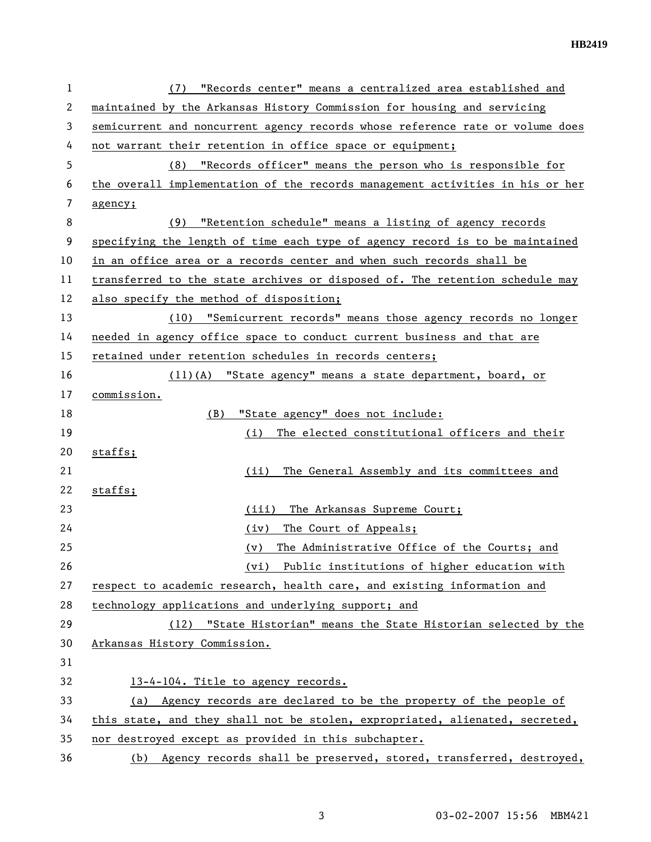| 1  | "Records center" means a centralized area established and<br>(7)              |
|----|-------------------------------------------------------------------------------|
| 2  | maintained by the Arkansas History Commission for housing and servicing       |
| 3  | semicurrent and noncurrent agency records whose reference rate or volume does |
| 4  | not warrant their retention in office space or equipment;                     |
| 5  | "Records officer" means the person who is responsible for<br>(8)              |
| 6  | the overall implementation of the records management activities in his or her |
| 7  | agency;                                                                       |
| 8  | "Retention schedule" means a listing of agency records<br>(9)                 |
| 9  | specifying the length of time each type of agency record is to be maintained  |
| 10 | in an office area or a records center and when such records shall be          |
| 11 | transferred to the state archives or disposed of. The retention schedule may  |
| 12 | also specify the method of disposition;                                       |
| 13 | (10) "Semicurrent records" means those agency records no longer               |
| 14 | needed in agency office space to conduct current business and that are        |
| 15 | retained under retention schedules in records centers;                        |
| 16 | (11)(A) "State agency" means a state department, board, or                    |
| 17 | commission.                                                                   |
| 18 | "State agency" does not include:<br>(B)                                       |
| 19 | The elected constitutional officers and their<br>(i)                          |
| 20 | staffs;                                                                       |
| 21 | The General Assembly and its committees and<br>(ii)                           |
| 22 | staffs;                                                                       |
| 23 | The Arkansas Supreme Court;<br>(iii)                                          |
| 24 | The Court of Appeals;<br>(iv)                                                 |
| 25 | The Administrative Office of the Courts; and<br>(v)                           |
| 26 | Public institutions of higher education with<br>(vi)                          |
| 27 | respect to academic research, health care, and existing information and       |
| 28 | technology applications and underlying support; and                           |
| 29 | (12) "State Historian" means the State Historian selected by the              |
| 30 | Arkansas History Commission.                                                  |
| 31 |                                                                               |
| 32 | 13-4-104. Title to agency records.                                            |
| 33 | (a) Agency records are declared to be the property of the people of           |
| 34 | this state, and they shall not be stolen, expropriated, alienated, secreted,  |
| 35 | nor destroyed except as provided in this subchapter.                          |
| 36 | (b) Agency records shall be preserved, stored, transferred, destroyed,        |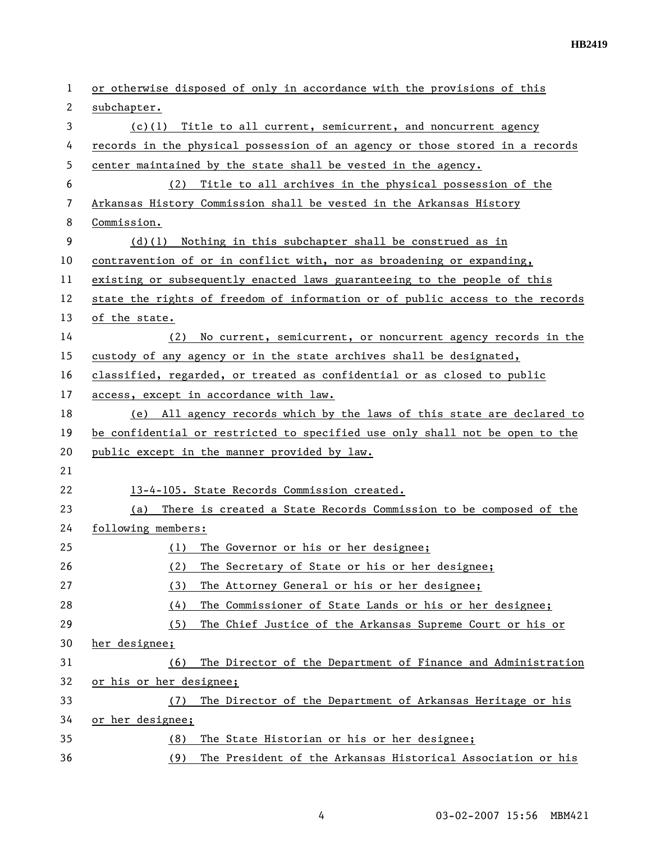| 1  | or otherwise disposed of only in accordance with the provisions of this       |
|----|-------------------------------------------------------------------------------|
| 2  | subchapter.                                                                   |
| 3  | $(c)(1)$ Title to all current, semicurrent, and noncurrent agency             |
| 4  | records in the physical possession of an agency or those stored in a records  |
| 5  | center maintained by the state shall be vested in the agency.                 |
| 6  | Title to all archives in the physical possession of the<br>(2)                |
| 7  | Arkansas History Commission shall be vested in the Arkansas History           |
| 8  | Commission.                                                                   |
| 9  | (d)(1) Nothing in this subchapter shall be construed as in                    |
| 10 | contravention of or in conflict with, nor as broadening or expanding,         |
| 11 | existing or subsequently enacted laws guaranteeing to the people of this      |
| 12 | state the rights of freedom of information or of public access to the records |
| 13 | of the state.                                                                 |
| 14 | No current, semicurrent, or noncurrent agency records in the<br>(2)           |
| 15 | custody of any agency or in the state archives shall be designated,           |
| 16 | classified, regarded, or treated as confidential or as closed to public       |
| 17 | access, except in accordance with law.                                        |
| 18 | All agency records which by the laws of this state are declared to<br>(e)     |
| 19 | be confidential or restricted to specified use only shall not be open to the  |
| 20 | public except in the manner provided by law.                                  |
| 21 |                                                                               |
| 22 | 13-4-105. State Records Commission created.                                   |
| 23 | There is created a State Records Commission to be composed of the<br>(a)      |
| 24 | following members:                                                            |
| 25 | The Governor or his or her designee;<br>(1)                                   |
| 26 | The Secretary of State or his or her designee;<br>(2)                         |
| 27 | The Attorney General or his or her designee;<br>(3)                           |
| 28 | (4)<br>The Commissioner of State Lands or his or her designee;                |
| 29 | The Chief Justice of the Arkansas Supreme Court or his or<br>(5)              |
| 30 | her designee;                                                                 |
| 31 | The Director of the Department of Finance and Administration<br>(6)           |
| 32 | or his or her designee;                                                       |
| 33 | The Director of the Department of Arkansas Heritage or his<br>(7)             |
| 34 | or her designee;                                                              |
| 35 | The State Historian or his or her designee;<br>(8)                            |
| 36 | (9)<br>The President of the Arkansas Historical Association or his            |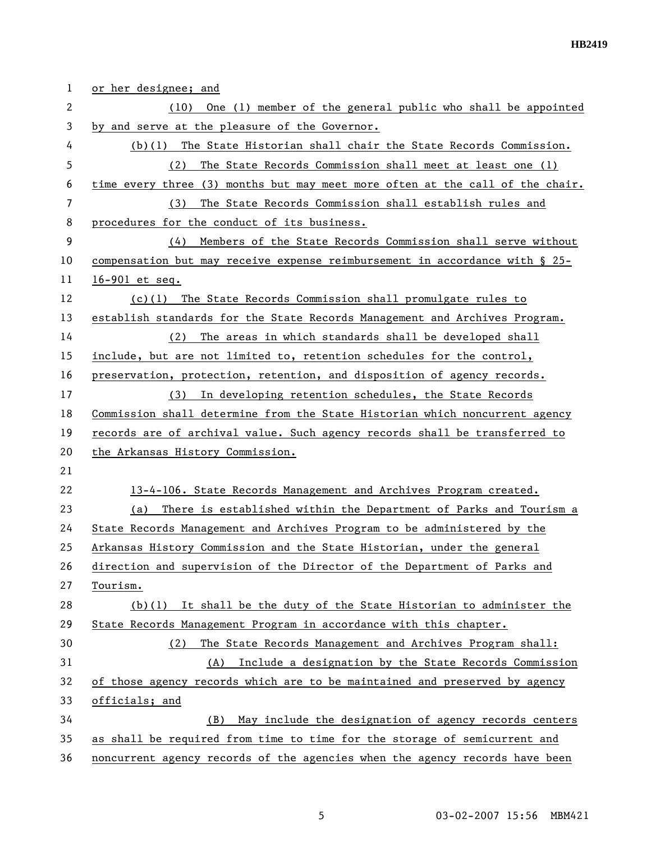| 1  | or her designee; and                                                          |
|----|-------------------------------------------------------------------------------|
| 2  | One (1) member of the general public who shall be appointed<br>(10)           |
| 3  | by and serve at the pleasure of the Governor.                                 |
| 4  | $(b)(1)$ The State Historian shall chair the State Records Commission.        |
| 5  | The State Records Commission shall meet at least one (1)<br>(2)               |
| 6  | time every three (3) months but may meet more often at the call of the chair. |
| 7  | The State Records Commission shall establish rules and<br>(3)                 |
| 8  | procedures for the conduct of its business.                                   |
| 9  | Members of the State Records Commission shall serve without<br>(4)            |
| 10 | compensation but may receive expense reimbursement in accordance with § 25-   |
| 11 | $16 - 901$ et seq.                                                            |
| 12 | (c)(1) The State Records Commission shall promulgate rules to                 |
| 13 | establish standards for the State Records Management and Archives Program.    |
| 14 | The areas in which standards shall be developed shall<br>(2)                  |
| 15 | include, but are not limited to, retention schedules for the control,         |
| 16 | preservation, protection, retention, and disposition of agency records.       |
| 17 | (3) In developing retention schedules, the State Records                      |
| 18 | Commission shall determine from the State Historian which noncurrent agency   |
| 19 | records are of archival value. Such agency records shall be transferred to    |
| 20 | the Arkansas History Commission.                                              |
| 21 |                                                                               |
| 22 | 13-4-106. State Records Management and Archives Program created.              |
| 23 | There is established within the Department of Parks and Tourism a<br>(a)      |
| 24 | State Records Management and Archives Program to be administered by the       |
| 25 | Arkansas History Commission and the State Historian, under the general        |
| 26 | direction and supervision of the Director of the Department of Parks and      |
| 27 | Tourism.                                                                      |
| 28 | $(b)(1)$ It shall be the duty of the State Historian to administer the        |
| 29 | State Records Management Program in accordance with this chapter.             |
| 30 | The State Records Management and Archives Program shall:<br>(2)               |
| 31 | Include a designation by the State Records Commission<br>(A)                  |
| 32 | of those agency records which are to be maintained and preserved by agency    |
| 33 | officials; and                                                                |
| 34 | May include the designation of agency records centers<br>(B)                  |
| 35 | as shall be required from time to time for the storage of semicurrent and     |
| 36 | noncurrent agency records of the agencies when the agency records have been   |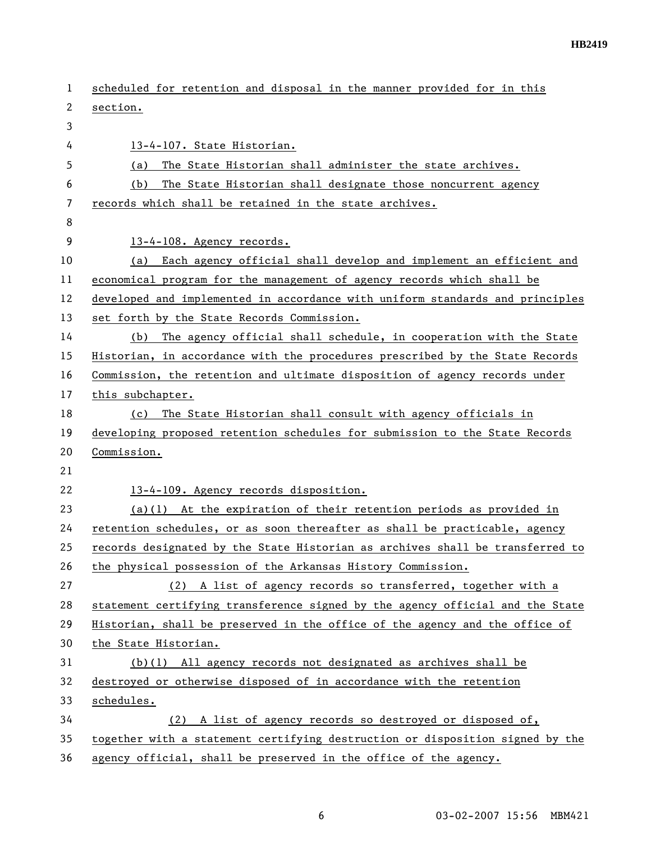| 1              | scheduled for retention and disposal in the manner provided for in this       |
|----------------|-------------------------------------------------------------------------------|
| 2              | section.                                                                      |
| 3              |                                                                               |
| 4              | 13-4-107. State Historian.                                                    |
| 5              | The State Historian shall administer the state archives.<br>(a)               |
| 6              | The State Historian shall designate those noncurrent agency<br>(b)            |
| $\overline{7}$ | records which shall be retained in the state archives.                        |
| 8              |                                                                               |
| 9              | 13-4-108. Agency records.                                                     |
| 10             | Each agency official shall develop and implement an efficient and<br>(a)      |
| 11             | economical program for the management of agency records which shall be        |
| 12             | developed and implemented in accordance with uniform standards and principles |
| 13             | set forth by the State Records Commission.                                    |
| 14             | The agency official shall schedule, in cooperation with the State<br>(b)      |
| 15             | Historian, in accordance with the procedures prescribed by the State Records  |
| 16             | Commission, the retention and ultimate disposition of agency records under    |
| 17             | this subchapter.                                                              |
| 18             | The State Historian shall consult with agency officials in<br>(c)             |
| 19             | developing proposed retention schedules for submission to the State Records   |
| 20             | Commission.                                                                   |
| 21             |                                                                               |
| 22             | 13-4-109. Agency records disposition.                                         |
| 23             | $(a)(1)$ At the expiration of their retention periods as provided in          |
| 24             | retention schedules, or as soon thereafter as shall be practicable, agency    |
| 25             | records designated by the State Historian as archives shall be transferred to |
| 26             | the physical possession of the Arkansas History Commission.                   |
| 27             | (2) A list of agency records so transferred, together with a                  |
| 28             | statement certifying transference signed by the agency official and the State |
| 29             | Historian, shall be preserved in the office of the agency and the office of   |
| 30             | the State Historian.                                                          |
| 31             | $(b)(1)$ All agency records not designated as archives shall be               |
| 32             | destroyed or otherwise disposed of in accordance with the retention           |
| 33             | schedules.                                                                    |
| 34             | (2) A list of agency records so destroyed or disposed of,                     |
| 35             | together with a statement certifying destruction or disposition signed by the |
| 36             | agency official, shall be preserved in the office of the agency.              |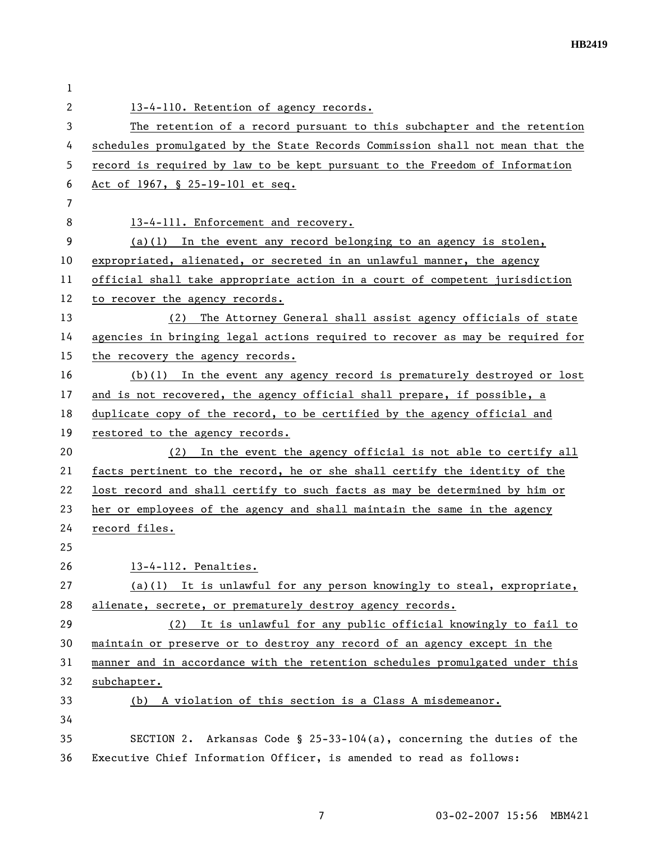| 1  |                                                                               |
|----|-------------------------------------------------------------------------------|
| 2  | 13-4-110. Retention of agency records.                                        |
| 3  | The retention of a record pursuant to this subchapter and the retention       |
| 4  | schedules promulgated by the State Records Commission shall not mean that the |
| 5  | record is required by law to be kept pursuant to the Freedom of Information   |
| 6  | Act of 1967, § 25-19-101 et seq.                                              |
| 7  |                                                                               |
| 8  | 13-4-111. Enforcement and recovery.                                           |
| 9  | $(a)(1)$ In the event any record belonging to an agency is stolen,            |
| 10 | expropriated, alienated, or secreted in an unlawful manner, the agency        |
| 11 | official shall take appropriate action in a court of competent jurisdiction   |
| 12 | to recover the agency records.                                                |
| 13 | (2) The Attorney General shall assist agency officials of state               |
| 14 | agencies in bringing legal actions required to recover as may be required for |
| 15 | the recovery the agency records.                                              |
| 16 | $(b)(1)$ In the event any agency record is prematurely destroyed or lost      |
| 17 | and is not recovered, the agency official shall prepare, if possible, a       |
| 18 | duplicate copy of the record, to be certified by the agency official and      |
| 19 | restored to the agency records.                                               |
| 20 | In the event the agency official is not able to certify all<br>(2)            |
| 21 | facts pertinent to the record, he or she shall certify the identity of the    |
| 22 | lost record and shall certify to such facts as may be determined by him or    |
| 23 | her or employees of the agency and shall maintain the same in the agency      |
| 24 | record files.                                                                 |
| 25 |                                                                               |
| 26 | 13-4-112. Penalties.                                                          |
| 27 | $(a)(1)$ It is unlawful for any person knowingly to steal, expropriate,       |
| 28 | alienate, secrete, or prematurely destroy agency records.                     |
| 29 | (2) It is unlawful for any public official knowingly to fail to               |
| 30 | maintain or preserve or to destroy any record of an agency except in the      |
| 31 | manner and in accordance with the retention schedules promulgated under this  |
| 32 | subchapter.                                                                   |
| 33 | (b) A violation of this section is a Class A misdemeanor.                     |
| 34 |                                                                               |
| 35 | SECTION 2. Arkansas Code § 25-33-104(a), concerning the duties of the         |
| 36 | Executive Chief Information Officer, is amended to read as follows:           |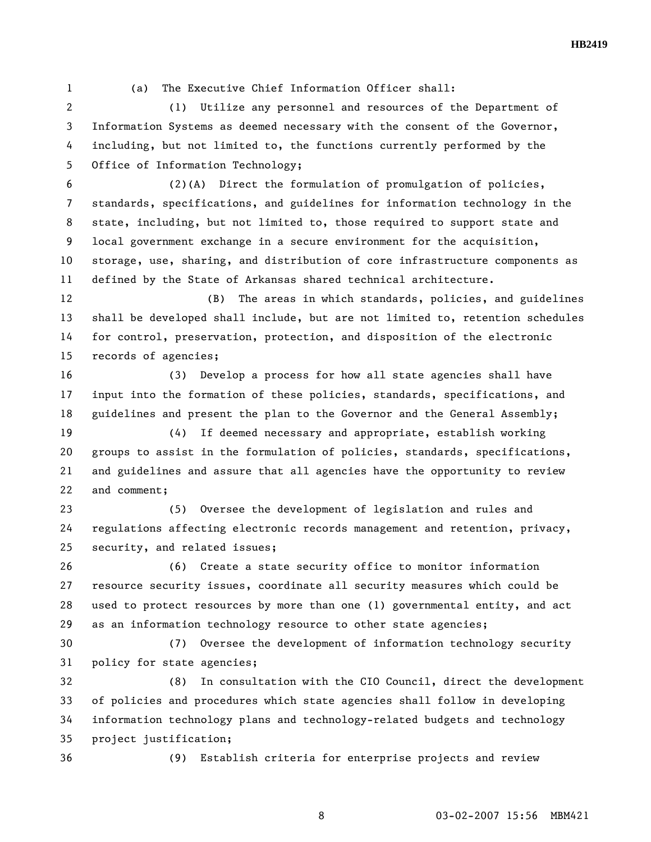1 (a) The Executive Chief Information Officer shall:

2 (1) Utilize any personnel and resources of the Department of 3 Information Systems as deemed necessary with the consent of the Governor, 4 including, but not limited to, the functions currently performed by the 5 Office of Information Technology;

6 (2)(A) Direct the formulation of promulgation of policies, 7 standards, specifications, and guidelines for information technology in the 8 state, including, but not limited to, those required to support state and 9 local government exchange in a secure environment for the acquisition, 10 storage, use, sharing, and distribution of core infrastructure components as 11 defined by the State of Arkansas shared technical architecture.

12 (B) The areas in which standards, policies, and guidelines 13 shall be developed shall include, but are not limited to, retention schedules 14 for control, preservation, protection, and disposition of the electronic 15 records of agencies;

16 (3) Develop a process for how all state agencies shall have 17 input into the formation of these policies, standards, specifications, and 18 guidelines and present the plan to the Governor and the General Assembly;

19 (4) If deemed necessary and appropriate, establish working 20 groups to assist in the formulation of policies, standards, specifications, 21 and guidelines and assure that all agencies have the opportunity to review 22 and comment;

23 (5) Oversee the development of legislation and rules and 24 regulations affecting electronic records management and retention, privacy, 25 security, and related issues;

26 (6) Create a state security office to monitor information 27 resource security issues, coordinate all security measures which could be 28 used to protect resources by more than one (1) governmental entity, and act 29 as an information technology resource to other state agencies;

30 (7) Oversee the development of information technology security 31 policy for state agencies;

32 (8) In consultation with the CIO Council, direct the development 33 of policies and procedures which state agencies shall follow in developing 34 information technology plans and technology-related budgets and technology 35 project justification;

36 (9) Establish criteria for enterprise projects and review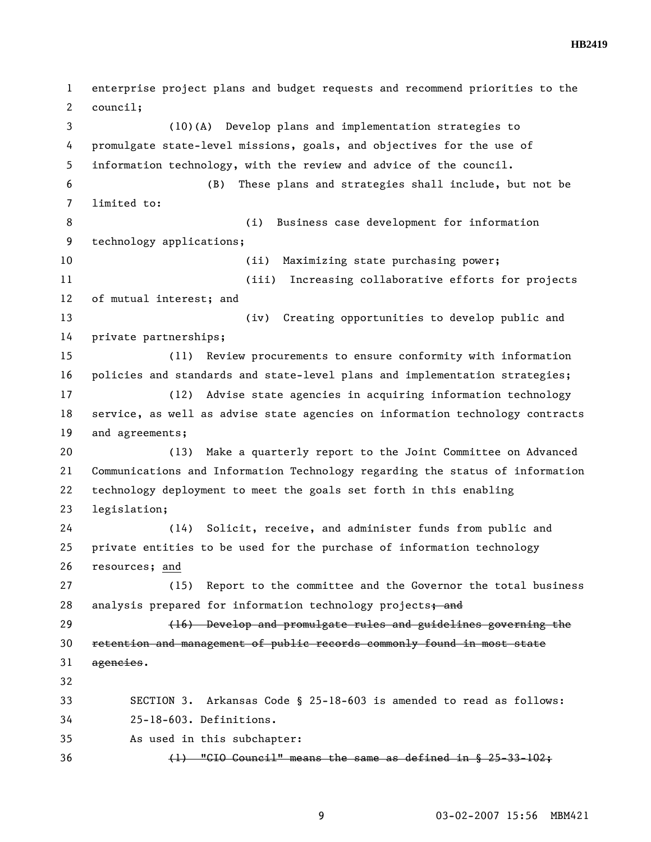**HB2419** 

1 enterprise project plans and budget requests and recommend priorities to the 2 council; 3 (10)(A) Develop plans and implementation strategies to 4 promulgate state-level missions, goals, and objectives for the use of 5 information technology, with the review and advice of the council. 6 (B) These plans and strategies shall include, but not be 7 limited to: 8 (i) Business case development for information 9 technology applications; 10 (ii) Maximizing state purchasing power; 11 (iii) Increasing collaborative efforts for projects 12 of mutual interest; and 13 (iv) Creating opportunities to develop public and 14 private partnerships; 15 (11) Review procurements to ensure conformity with information 16 policies and standards and state-level plans and implementation strategies; 17 (12) Advise state agencies in acquiring information technology 18 service, as well as advise state agencies on information technology contracts 19 and agreements; 20 (13) Make a quarterly report to the Joint Committee on Advanced 21 Communications and Information Technology regarding the status of information 22 technology deployment to meet the goals set forth in this enabling 23 legislation; 24 (14) Solicit, receive, and administer funds from public and 25 private entities to be used for the purchase of information technology 26 resources; and 27 (15) Report to the committee and the Governor the total business 28 analysis prepared for information technology projects; and 29 (16) Develop and promulgate rules and guidelines governing the 30 retention and management of public records commonly found in most state 31 agencies. 32 33 SECTION 3. Arkansas Code § 25-18-603 is amended to read as follows: 34 25-18-603. Definitions. 35 As used in this subchapter:  $36$  (1) "CIO Council" means the same as defined in  $\S$  25-33-102;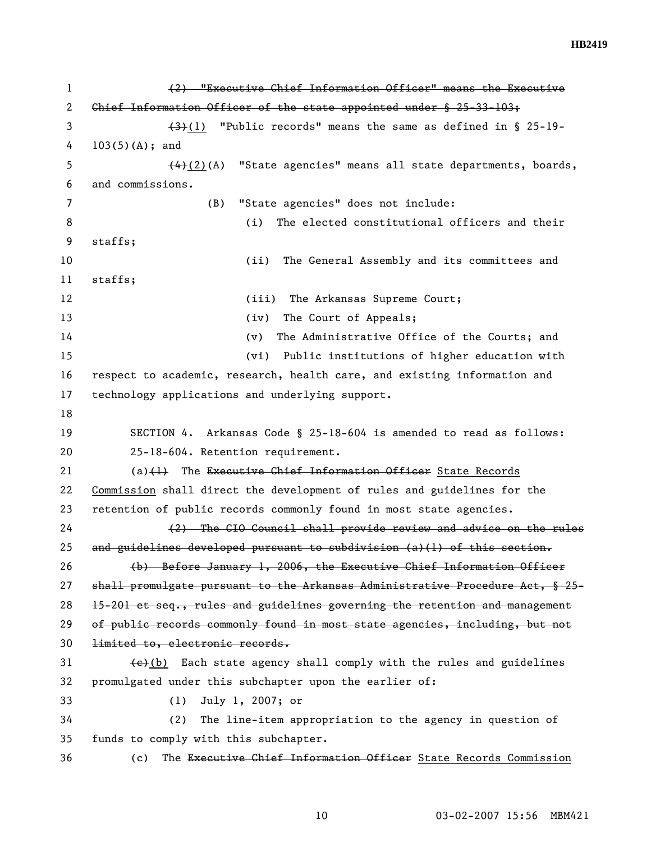| 1  | (2) "Executive Chief Information Officer" means the Executive                                |
|----|----------------------------------------------------------------------------------------------|
| 2  | Chief Information Officer of the state appointed under $\frac{25-33-103}{7}$                 |
| 3  | $(3)(1)$ "Public records" means the same as defined in § 25-19-                              |
| 4  | $103(5)(A);$ and                                                                             |
| 5  | $(4)$ (2)(A) "State agencies" means all state departments, boards,                           |
| 6  | and commissions.                                                                             |
| 7  | "State agencies" does not include:<br>(B)                                                    |
| 8  | (i)<br>The elected constitutional officers and their                                         |
| 9  | staffs;                                                                                      |
| 10 | The General Assembly and its committees and<br>(ii)                                          |
| 11 | staffs;                                                                                      |
| 12 | The Arkansas Supreme Court;<br>(iii)                                                         |
| 13 | The Court of Appeals;<br>(iv)                                                                |
| 14 | The Administrative Office of the Courts; and<br>(v)                                          |
| 15 | (vi) Public institutions of higher education with                                            |
| 16 | respect to academic, research, health care, and existing information and                     |
| 17 | technology applications and underlying support.                                              |
| 18 |                                                                                              |
| 19 | SECTION 4. Arkansas Code § 25-18-604 is amended to read as follows:                          |
| 20 | 25-18-604. Retention requirement.                                                            |
| 21 | $(a)$ $(1)$ The Executive Chief Information Officer State Records                            |
| 22 | Commission shall direct the development of rules and guidelines for the                      |
| 23 | retention of public records commonly found in most state agencies.                           |
| 24 | (2) The CIO Council shall provide review and advice on the rules                             |
| 25 | and guidelines developed pursuant to subdivision $(a)(1)$ of this section.                   |
| 26 | (b) Before January 1, 2006, the Executive Chief Information Officer                          |
| 27 | shall promulgate pursuant to the Arkansas Administrative Procedure Act, § 25-                |
| 28 | 15-201 et seq., rules and guidelines governing the retention and management                  |
| 29 | of public records commonly found in most state agencies, including, but not                  |
| 30 | limited to, electronic records.                                                              |
| 31 | $\left\{\frac{e}{e}\right\}(b)$ Each state agency shall comply with the rules and guidelines |
| 32 | promulgated under this subchapter upon the earlier of:                                       |
| 33 | July 1, 2007; or<br>(1)                                                                      |
| 34 | The line-item appropriation to the agency in question of<br>(2)                              |
| 35 | funds to comply with this subchapter.                                                        |
| 36 | The Executive Chief Information Officer State Records Commission<br>(c)                      |